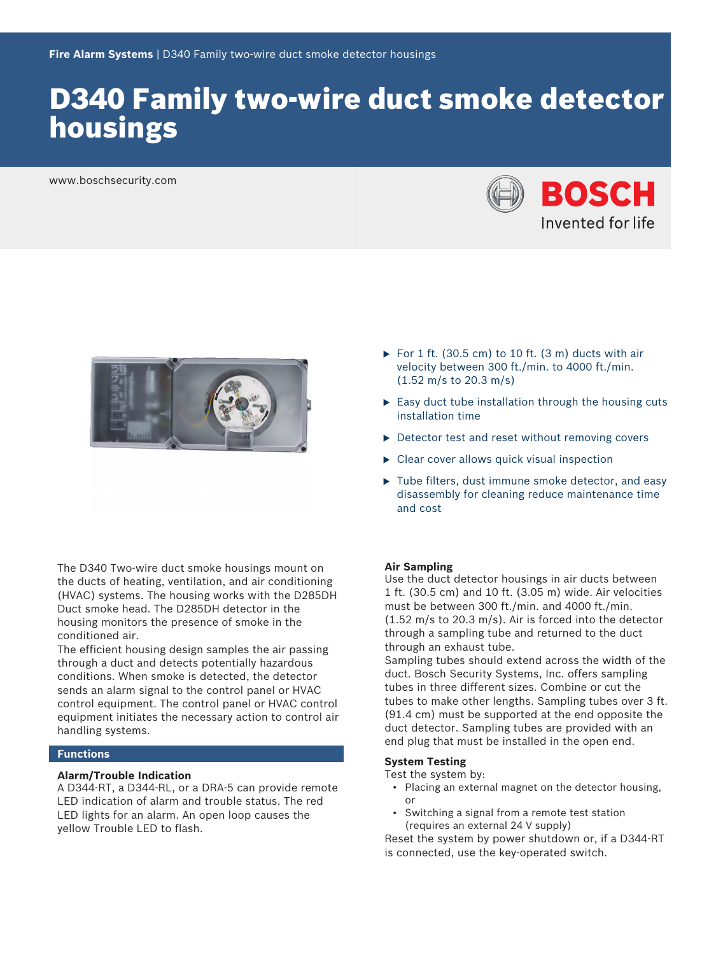# D340 Family two-wire duct smoke detector housings

www.boschsecurity.com





The D340 Two‑wire duct smoke housings mount on the ducts of heating, ventilation, and air conditioning (HVAC) systems. The housing works with the D285DH Duct smoke head. The D285DH detector in the housing monitors the presence of smoke in the conditioned air.

The efficient housing design samples the air passing through a duct and detects potentially hazardous conditions. When smoke is detected, the detector sends an alarm signal to the control panel or HVAC control equipment. The control panel or HVAC control equipment initiates the necessary action to control air handling systems.

#### **Functions**

#### **Alarm/Trouble Indication**

A D344‑RT, a D344‑RL, or a DRA‑5 can provide remote LED indication of alarm and trouble status. The red LED lights for an alarm. An open loop causes the yellow Trouble LED to flash.

- For 1 ft. (30.5 cm) to 10 ft. (3 m) ducts with air velocity between 300 ft./min. to 4000 ft./min. (1.52 m/s to 20.3 m/s)
- $\triangleright$  Easy duct tube installation through the housing cuts installation time
- $\triangleright$  Detector test and reset without removing covers
- $\triangleright$  Clear cover allows quick visual inspection
- $\blacktriangleright$  Tube filters, dust immune smoke detector, and easy disassembly for cleaning reduce maintenance time and cost

#### **Air Sampling**

Use the duct detector housings in air ducts between 1 ft. (30.5 cm) and 10 ft. (3.05 m) wide. Air velocities must be between 300 ft./min. and 4000 ft./min. (1.52 m/s to 20.3 m/s). Air is forced into the detector through a sampling tube and returned to the duct through an exhaust tube.

Sampling tubes should extend across the width of the duct. Bosch Security Systems, Inc. offers sampling tubes in three different sizes. Combine or cut the tubes to make other lengths. Sampling tubes over 3 ft. (91.4 cm) must be supported at the end opposite the duct detector. Sampling tubes are provided with an end plug that must be installed in the open end.

#### **System Testing**

Test the system by:

- Placing an external magnet on the detector housing, or
- Switching a signal from a remote test station (requires an external 24 V supply)

Reset the system by power shutdown or, if a D344‑RT is connected, use the key-operated switch.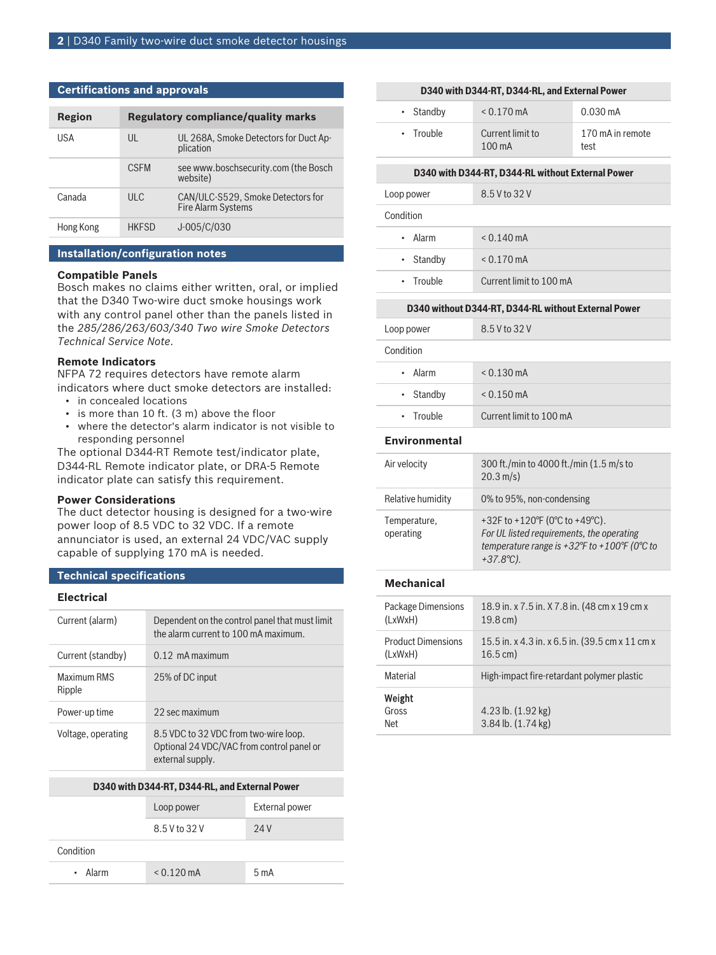#### **Certifications and approvals**

| Region    |              | <b>Regulatory compliance/quality marks</b>                     |
|-----------|--------------|----------------------------------------------------------------|
| USA       | UL           | UL 268A, Smoke Detectors for Duct Ap-<br>plication             |
|           | <b>CSFM</b>  | see www.boschsecurity.com (the Bosch<br>website)               |
| Canada    | ULC          | CAN/ULC-S529, Smoke Detectors for<br><b>Fire Alarm Systems</b> |
| Hong Kong | <b>HKFSD</b> | J-005/C/030                                                    |

#### **Installation/configuration notes**

#### **Compatible Panels**

Bosch makes no claims either written, oral, or implied that the D340 Two‑wire duct smoke housings work with any control panel other than the panels listed in the *285/286/263/603/340 Two wire Smoke Detectors Technical Service Note*.

#### **Remote Indicators**

NFPA 72 requires detectors have remote alarm indicators where duct smoke detectors are installed:

- in concealed locations
- is more than 10 ft. (3 m) above the floor
- where the detector's alarm indicator is not visible to responding personnel

The optional D344‑RT Remote test/indicator plate, D344‑RL Remote indicator plate, or DRA‑5 Remote indicator plate can satisfy this requirement.

#### **Power Considerations**

The duct detector housing is designed for a two-wire power loop of 8.5 VDC to 32 VDC. If a remote annunciator is used, an external 24 VDC/VAC supply capable of supplying 170 mA is needed.

#### **Technical specifications**

## **Electrical**

| Dependent on the control panel that must limit<br>the alarm current to 100 mA maximum.                 |
|--------------------------------------------------------------------------------------------------------|
| $0.12$ mA maximum                                                                                      |
| 25% of DC input                                                                                        |
| 22 sec maximum                                                                                         |
| 8.5 VDC to 32 VDC from two-wire loop.<br>Optional 24 VDC/VAC from control panel or<br>external supply. |
|                                                                                                        |

#### **D340 with D344-RT, D344-RL, and External Power**

|           | Loop power           | <b>External power</b> |
|-----------|----------------------|-----------------------|
|           | 8.5 V to 32 V        | 24V                   |
| Condition |                      |                       |
| • Alarm   | $< 0.120 \text{ mA}$ | 5 <sub>m</sub> A      |

| D340 with D344-RT, D344-RL, and External Power |
|------------------------------------------------|
|------------------------------------------------|

| $\cdot$ Standby | $< 0.170$ mA                         | $0.030 \,\mathrm{mA}$    |
|-----------------|--------------------------------------|--------------------------|
| $\cdot$ Trouble | Current limit to<br>$100 \text{ mA}$ | 170 mA in remote<br>test |

#### **D340 with D344-RT, D344-RL without External Power**

| Loop power | 8.5 V to 32 V           |
|------------|-------------------------|
| Condition  |                         |
| • Alarm    | $< 0.140 \text{ mA}$    |
| • Standby  | $< 0.170 \text{ mA}$    |
| • Trouble  | Current limit to 100 mA |

#### **D340 without D344-RT, D344-RL without External Power**

| 8.5 V to 32 V           |
|-------------------------|
|                         |
| $< 0.130 \text{ mA}$    |
| $< 0.150 \text{ mA}$    |
| Current limit to 100 mA |
|                         |

#### **Environmental**

| Air velocity              | 300 ft./min to 4000 ft./min (1.5 m/s to<br>$20.3 \text{ m/s}$                                                                                      |
|---------------------------|----------------------------------------------------------------------------------------------------------------------------------------------------|
| Relative humidity         | 0% to 95%, non-condensing                                                                                                                          |
| Temperature,<br>operating | +32F to +120°F (0°C to +49°C).<br>For UL listed requirements, the operating<br>temperature range is +32°F to +100°F (0°C to<br>$+37.8^{\circ}C$ ). |

### **Mechanical**

| Package Dimensions        | 18.9 in. x 7.5 in. X 7.8 in. (48 cm x 19 cm x   |
|---------------------------|-------------------------------------------------|
| (LxWxH)                   | $19.8 \,\mathrm{cm}$ )                          |
| <b>Product Dimensions</b> | 15.5 in. x 4.3 in. x 6.5 in. (39.5 cm x 11 cm x |
| (LxWxH)                   | $16.5 \,\mathrm{cm}$ )                          |
| Material                  | High-impact fire-retardant polymer plastic      |
| Weight<br>Gross<br>Net    | $4.23$ lb. $(1.92$ kg)<br>3.84 lb. (1.74 kg)    |